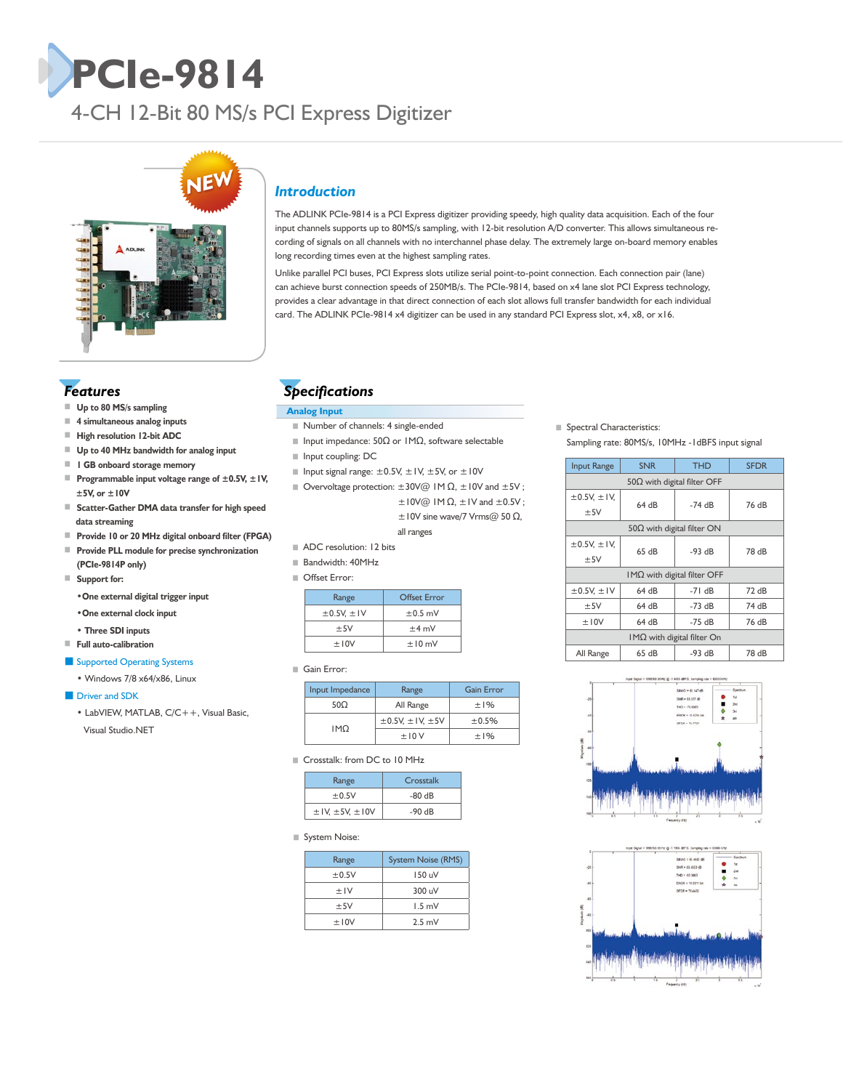# **PCIe-9814**

4-CH 12-Bit 80 MS/s PCI Express Digitizer



# *Features*

- Up to 80 MS/s sampling
- **4 simultaneous analog inputs**
- **High resolution 12-bit ADC**
- **Up to 40 MHz bandwidth for analog input**
- **1 GB onboard storage memory**
- **Programmable input voltage range of ±0.5V, ±1V, ±5V, or ±10V**
- **Scatter-Gather DMA data transfer for high speed data streaming**
- ■ **Provide 10 or 20 MHz digital onboard filter (FPGA)**
- **Provide PLL module for precise synchronization (PCIe-9814P only)**

■ **Support for:**

•**One external digital trigger input**

- •**One external clock input**
- **Three SDI inputs**
- ■ **Full auto-calibration**

#### ■ Supported Operating Systems

 • Windows 7/8 x64/x86, Linux

#### ■ Driver and SDK

 • LabVIEW, MATLAB, C/C++, Visual Basic, Visual Studio.NET

# *Introduction*

The ADLINK PCIe-9814 is a PCI Express digitizer providing speedy, high quality data acquisition. Each of the four input channels supports up to 80MS/s sampling, with 12-bit resolution A/D converter. This allows simultaneous recording of signals on all channels with no interchannel phase delay. The extremely large on-board memory enables long recording times even at the highest sampling rates.

Unlike parallel PCI buses, PCI Express slots utilize serial point-to-point connection. Each connection pair (lane) can achieve burst connection speeds of 250MB/s. The PCIe-9814, based on x4 lane slot PCI Express technology, provides a clear advantage in that direct connection of each slot allows full transfer bandwidth for each individual card. The ADLINK PCIe-9814 x4 digitizer can be used in any standard PCI Express slot, x4, x8, or x16.

# *Specifications*

#### **Analog Input**

- Number of channels: 4 single-ended
- Input impedance: 50Ω or 1MΩ, software selectable
- Input coupling: DC
- II Input signal range:  $\pm 0.5$ V,  $\pm 1$ V,  $\pm 5$ V, or  $\pm 10$ V
- Overvoltage protection:  $±30V@IMΩ$ ,  $±10V$  and  $±5V$ ;  $\pm$ 10V@ IM  $\Omega$ ,  $\pm$ IV and  $\pm$ 0.5V;  $\pm$ 10V sine wave/7 Vrms@ 50  $\Omega$ , all ranges
- ADC resolution: 12 bits
- Bandwidth: 40MHz
- Offset Error:

| Offset Frror |
|--------------|
| $\pm 0.5$ mV |
| $+4$ mV      |
| $\pm 10$ mV  |
|              |

■ Gain Error:

| Input Impedance | Range                          | <b>Gain Error</b> |
|-----------------|--------------------------------|-------------------|
| 500             | All Range                      |                   |
| <b>IMO</b>      | $\pm$ 0.5V, $\pm$ IV, $\pm$ 5V | ±0.5%             |
|                 | ±10V                           | $+1\%$            |

#### ■ Crosstalk: from DC to 10 MHz

| Range                   | Crosstalk |
|-------------------------|-----------|
| ±0.5V                   | $-80$ dB  |
| $±$ IV, $±$ 5V, $±$ IOV | $-90dB$   |

■ System Noise:

| Range | System Noise (RMS) |
|-------|--------------------|
| ±0.5V | 150 uV             |
|       |                    |
| ±IV   | 300 <sub>u</sub>   |
| ±5V   | 1.5 mV             |
| ±10V  | $2.5$ mV           |

■ Spectral Characteristics: Sampling rate: 80MS/s, 10MHz -1dBFS input signal

| <b>Input Range</b>                 | <b>SNR</b><br><b>THD</b> |          | <b>SFDR</b> |  |  |  |
|------------------------------------|--------------------------|----------|-------------|--|--|--|
| $50\Omega$ with digital filter OFF |                          |          |             |  |  |  |
| $\pm$ 0.5V, $\pm$ IV,<br>±5V       | 64 dB                    | $-74$ dB | 76 dB       |  |  |  |
| $50\Omega$ with digital filter ON  |                          |          |             |  |  |  |
| $\pm$ 0.5V, $\pm$ IV,<br>±5V       | 65dB                     | $-93 dB$ | 78 dB       |  |  |  |
| $IM\Omega$ with digital filter OFF |                          |          |             |  |  |  |
| $\pm$ 0.5V, $\pm$ IV               | 64 dB                    |          | 72 dB       |  |  |  |
| ±5V                                | 64 dB                    | $-73$ dB | 74 dB       |  |  |  |
| ±10V                               | 64 dB                    |          | 76 dB       |  |  |  |
| $IM\Omega$ with digital filter On  |                          |          |             |  |  |  |
| 65 dB<br>All Range                 |                          | $-93 dB$ | 78 dB       |  |  |  |



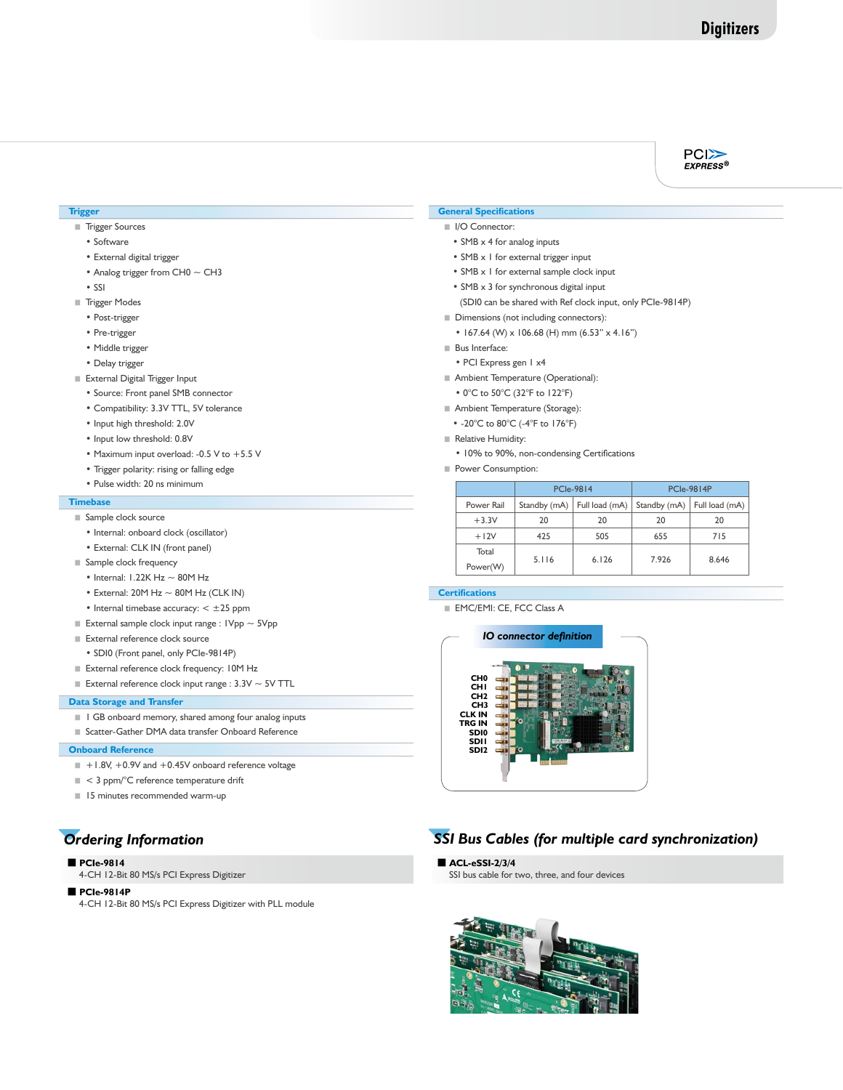#### $PC$ EXPRESS<sup>®</sup>

#### **Trigger**

- Trigger Sources
	- Software
	- External digital trigger
	- Analog trigger from  $CH0 \sim CH3$
	- SSI
- Trigger Modes
	- Post-trigger
	- Pre-trigger
	- Middle trigger
	- Delay trigger
- External Digital Trigger Input
	- Source: Front panel SMB connector
	- Compatibility: 3.3V TTL, 5V tolerance
	- Input high threshold: 2.0V
	- Input low threshold: 0.8V
	- Maximum input overload: -0.5 V to +5.5 V
	- Trigger polarity: rising or falling edge
	- Pulse width: 20 ns minimum

#### **Timebase**

#### ■ Sample clock source

- Internal: onboard clock (oscillator)
- External: CLK IN (front panel)
- Sample clock frequency
	- Internal:  $1.22K$  Hz  $\sim$  80M Hz
	- External:  $20M$  Hz  $\sim$  80M Hz (CLK IN)
	- Internal timebase accuracy:  $< \pm 25$  ppm
- External sample clock input range :  $I Vpp \sim 5 Vpp$
- External reference clock source
- SDI0 (Front panel, only PCIe-9814P)
- External reference clock frequency: 10M Hz
- External reference clock input range :  $3.3V \sim 5V$  TTL

#### **Data Storage and Transfer**

- 1 GB onboard memory, shared among four analog inputs
- Scatter-Gather DMA data transfer Onboard Reference

#### **Onboard Reference**

- +1.8V, +0.9V and +0.45V onboard reference voltage
- < 3 ppm/°C reference temperature drift
- 15 minutes recommended warm-up

## ■ **PCIe-9814**

4-CH 12-Bit 80 MS/s PCI Express Digitizer

#### ■ **PCIe-9814P**

4-CH 12-Bit 80 MS/s PCI Express Digitizer with PLL module

#### **General Specifications**

- I/O Connector:
- SMB x 4 for analog inputs
- SMB x 1 for external trigger input
- SMB x 1 for external sample clock input
- SMB x 3 for synchronous digital input
- (SDI0 can be shared with Ref clock input, only PCIe-9814P)
- Dimensions (not including connectors):
	- 167.64 (W) x 106.68 (H) mm (6.53" x 4.16")
- Bus Interface:
	- PCI Express gen 1 x4
- Ambient Temperature (Operational):
	- 0°C to 50°C (32°F to 122°F)
- Ambient Temperature (Storage):
- -20°C to 80°C (-4°F to 176°F)
- Relative Humidity:
	- 10% to 90%, non-condensing Certifications
- Power Consumption:

|            | <b>PCIe-9814</b> |                | <b>PCIe-9814P</b> |                |
|------------|------------------|----------------|-------------------|----------------|
| Power Rail | Standby (mA)     | Full load (mA) | Standby (mA)      | Full load (mA) |
| $+3.3V$    | 20               | 20             | 20                | 20             |
| $+12V$     | 425              | 505            | 655               | 715            |
| Total      | 5.116            | 6.126          | 7.926             | 8.646          |
| Power(W)   |                  |                |                   |                |

### **Certifications**

■ EMC/EMI: CE, FCC Class A



# *Ordering Information SSI Bus Cables (for multiple card synchronization)*

#### ■ **ACL-eSSI-2/3/4**

SSI bus cable for two, three, and four devices